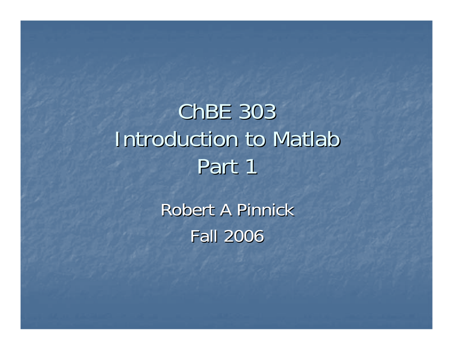# ChBE 303 Introduction to Matlab Part 1

Robert A Pinnick Fall 2006 Fall 2006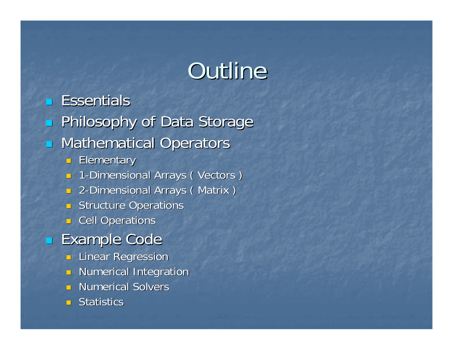# Outline

**Essentials**  $\mathbb{R}^2$ **Rillosophy of Data Storage**  $\mathbb{R}^2$ **E** Mathematical Operators  $\blacksquare$  Elementary **1** - Dimensional Arrays ( Vectors ) **2-Dimensional Arrays ( Matrix )**  $\Box$  Structure Operations ■ Cell Operations **Example Code Rinear Regression**  $\blacksquare$  Numerical Integration **Numerical Solvers** Numerical Solvers  $\blacksquare$  Statistics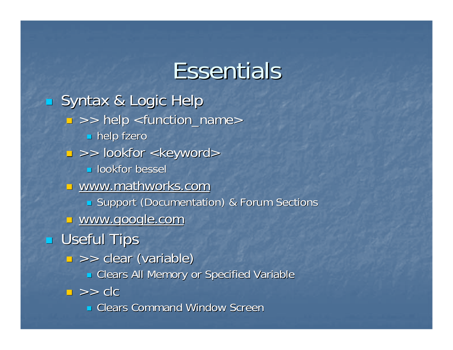### Essentials

 $\overline{\mathcal{L}}$ **Syntax & Logic Help** Syntax & Logic Help  $\textcolor{red}{\blacksquare} >> \textcolor{red}{\blacksquare}$  help <function\_name> **help fzero**  $\textcolor{red}{\blacksquare} \textcolor{red}{>>}$  lookfor  $\textsf{<}$ keyword $\textsf{>}$ **<u>L</u>** lookfor bessel **u** www.mathworks.com **Support (Documentation) & Forum Sections** <u>u www.google.com</u>  $\mathbb{R}^2$ **E** Useful Tips >> clear (variable) >> clear (variable)  $\blacksquare$  Clears All Memory or Specified Variable  $\Box \,\,>>\,\,$ clc **Example 25 Clears Command Window Screen**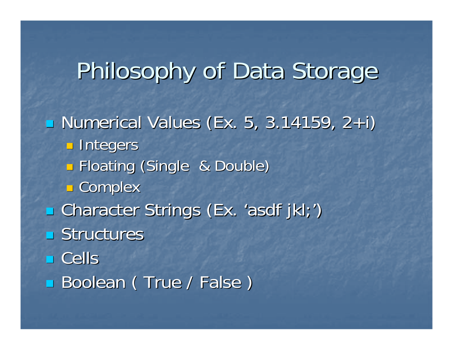## Philosophy of Data Storage

### **- Numerical Values (Ex. 5, 3.14159, 2+i)**

**<u>n</u>** Integers

- $\mathbb{R}^2$ **E Floating (Single & Double)**
- $\mathbb{R}^3$ **E** Complex
- Character Strings (Ex. 'asdf jkl;')
- $\blacksquare$  Structures
- Cells
- Boolean (True / False)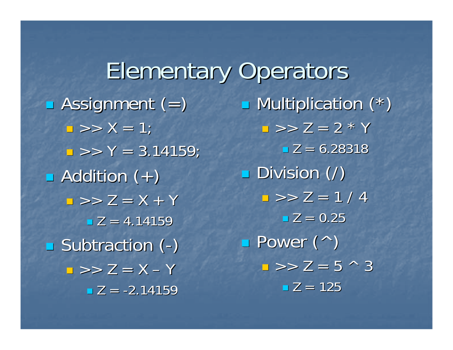**Elementary Operators**  $\blacksquare$  Assignment (=)  $\blacksquare$  >> X = 1;  $\Box >> Y = 3.14159$ ;  $\blacksquare$  Addition  $(+)$  $\blacksquare$  >> Z = X + Y  $\blacksquare$  Z = 4.14159 **Subtraction (** - )  $\Box \gg \angle Z = X - Y$  $\blacksquare$  Z = -2.14159

**B** Multiplication (\*)  $\blacksquare$  >> Z = 2 \* Y  $\blacksquare$  Z = 6.28318  $\blacksquare$  Division  $(\prime)$  $\Box >> Z = 1/4$  $\square$  Z = 0.25 Power (^) Power (^)  $\Box >> Z = 5 \land 3$  $\blacksquare$  Z = 125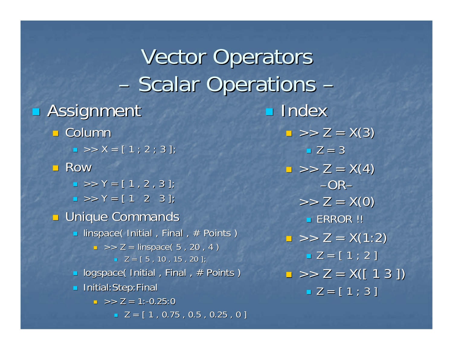**Vector Operators** –- Scalar Operations – $\blacksquare$  Assignment **□ Column**  $\blacksquare$  >> X = [ 1 ; 2 ; 3 ]; **□ Row**  $\blacksquare$  >> Y = [ 1 , 2 , 3 ];  $\blacksquare$  >> Y = [ 1 2 3 ];  $\blacksquare$  Unique Commands  $\blacksquare$  linspace( Initial , Final , # Points ) >> Z = linspace linspace( 5 , 20 , 4 ) ( 5 , 20 , 4 )  $\blacksquare$  Z = [ 5 , 10 , 15 , 20 ];  $\textcolor{red}{\bullet}$  logspace( Initial , Final , # Points ) **Initial:Step:Final**  $\blacksquare$  >> Z = 1:-0.25:0  $\blacksquare$  Z = [ 1 , 0.75 , 0.5 , 0.25 , 0 ] **Index**  $\blacksquare$  Z = 3 –OR –

 $\Box$  >> Z = X(3)  $\Rightarrow$   $>$  Z = X(4)  $>> Z = X(0)$  $\blacksquare$  ERROR !!  $\Box >> Z = X(1:2)$  $\blacksquare$  Z = [ 1 ; 2 ]  $\Box >> Z = \sf{X}([~1~3~])$  $\blacksquare$  Z = [ 1 ; 3 ]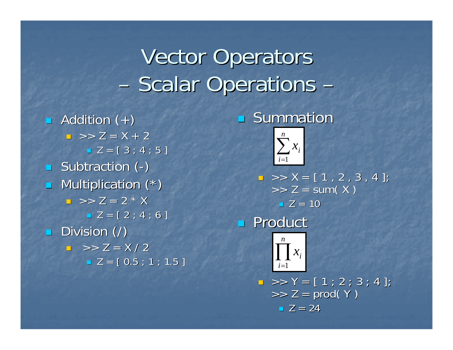### **Vector Operators** –- Scalar Operations –

 $\blacksquare$  Addition  $(+)$  $\blacksquare$  >> Z = X + 2  $\blacksquare$  Z = [ 3 ; 4 ; 5 ]  $\blacksquare$  Subtraction ( - )  $\blacksquare$ Multiplication  $(*)$  $\Box$  >> Z = 2 \* X  $= Z = [2; 4; 6]$  $\blacksquare$  Division (/)  $\Box$  >> Z = X / 2  $\blacksquare$  Z = [ 0.5 ; 1 ; 1.5 ]

#### p. **Summation**



 $\blacksquare$  >> X = [ 1 , 2 , 3 , 4 ];  $\Rightarrow$  Z = sum( X )  $\blacksquare$  Z = 10

### **Product**



 $\blacksquare$  >> Y = [ 1 ; 2 ; 3 ; 4 ];  $\Rightarrow$  Z = prod( Y )  $\blacksquare$  Z = 24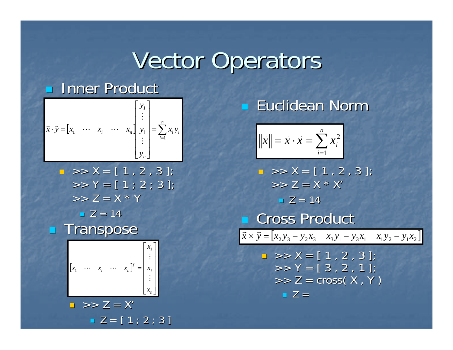# Vector Operators

a l

#### п **Inner Product**

$$
\vec{x} \cdot \vec{y} = \begin{bmatrix} x_1 & \cdots & x_i & \cdots & x_n \end{bmatrix} \begin{bmatrix} y_1 \\ \vdots \\ y_i \\ \vdots \\ y_n \end{bmatrix} = \sum_{i=1}^n x_i y_i
$$

 >> X = [ 1 , 2 , 3 ]; >> X = [ 1 , 2 , 3 ]; >> Y = [ 1 ; 2 ; 3 ]; >> Y = [ 1 ; 2 ; 3 ]; >> Z = X \* Y >> Z = X \* Y Z = 14 Transpose Transpose [ ] ⎥ ⎥ ⎥ ⎥ ⎥ ⎥ ⎦ ⎤ ⎢ ⎣ ⎡ =*niTi nxxxxxx*##"">> Z = X >> Z = X'

### **Euclidean Norm**

$$
\|\vec{x}\| = \vec{x} \cdot \vec{x} = \sum_{i=1}^{n} x_i^2
$$

 >> X = [ 1 , 2 , 3 ]; >> X = [ 1 , 2 , 3 ]; >> Z = X \* X >> Z = X \* X' Z = 14 Cross Product Cross Product

$$
\vec{x} \times \vec{y} = [x_2 y_3 - y_2 x_3 \quad x_3 y_1 - y_3 x_1 \quad x_1 y_2 - y_1 x_2]
$$

$$
X = [1, 2, 3];
$$
  
> Y = [3, 2, 1];  
>> Z = cross(X, Y)  
= Z =

L.  $\blacksquare$  Z = [ 1 ; 2 ; 3 ]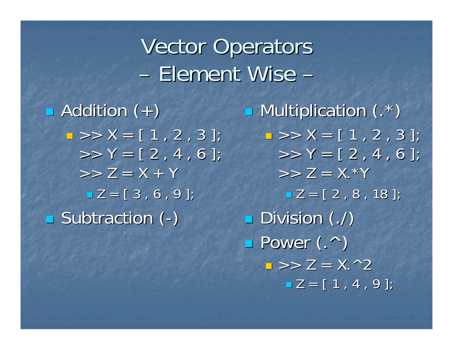### **Vector Operators** –– Element Wise –

 $\blacksquare$  Addition  $(+)$  $\Box >> X = [ 1 , 2 , 3 ];$  $>> Y = [2, 4, 6];$  $>> Z = X + Y$  $\blacksquare$  Z = [  $3$  , 6 , 9 ]; **Subtraction (** - )

**B** Multiplication (.\*)  $\Box >> X = [ 1, 2, 3 ];$  $>> Y = [2, 4, 6];$  $>> Z = X.*Y$  $\blacksquare$  Z = [ 2 , 8 , 18 ];  $\blacksquare$  Division  $($  ./)  $\blacksquare$  Power  $($ . $\wedge$  $)$  $\blacksquare$  >>  $\mathsf{Z} = \mathsf{X}$ .^2  $\blacksquare$  Z  $=$  [ 1 , 4 , 9 ];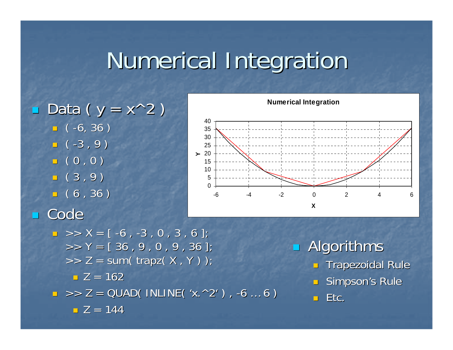# Numerical Integration Numerical Integration

Data ( $y = x^2$ )  $\blacksquare$  ( -6, 36 )  $\overline{\phantom{0}}$  (-3,9)  $\overline{\phantom{0}}$  (  $0$  ,  $0$  )  $\overline{\phantom{0}}$  (3,9)  $\blacksquare$  (  $6$  ,  $36$  )  $\mathbb{R}^2$ Code



$$
X = [-6, -3, 0, 3, 6];
$$
  
\n>> Y = [-36, 9, 0, 9, 36];  
\n>> Z = sum(trapz(X, Y));  
\nZ = 162  
\n>> Z = QUAD( INLINE('X.^2'), -6...6)  
\nZ = 144

 $\mathbb{R}^2$ Algorithms  $\blacksquare$  Trapezoidal Rule

 $\Box$  Simpson's Rule

 $\blacksquare$  Etc.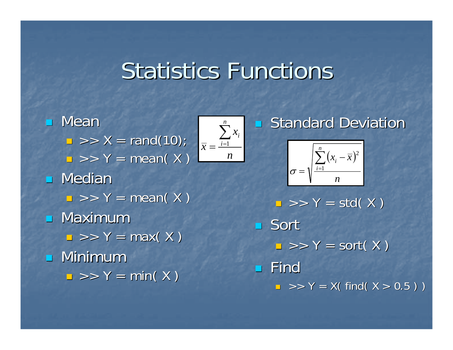### **Statistics Functions**

*n*

 $\sum x_i$ 

*n*

*i*

*x*

 $\mathbb{R}^2$  Mean  $\blacksquare$  >> X = rand(10);  $\Box \gg Y = \text{mean}(X)$ n Median  $\Box \gg Y = \text{mean}(X)$  $\blacksquare$  $\blacksquare$  Maximum  $\Box$  >> Y = max( X )  $\blacksquare$  Minimum  $\Box >> \Upsilon = \text{min}(\ \Upsilon)$ *x*  $=$  $\frac{i=1}{}$ 

### **Standard Deviation**



 $\Box >> \Upsilon = \mathsf{std}(\ \mathsf{X}\ )$ ■ Sort  $\Box$  >> Y = sort( X )  $\blacksquare$  Find  $\textsf{I} \textsf{I} \textsf{I} >$  > Y = X( find( X > 0.5 ) )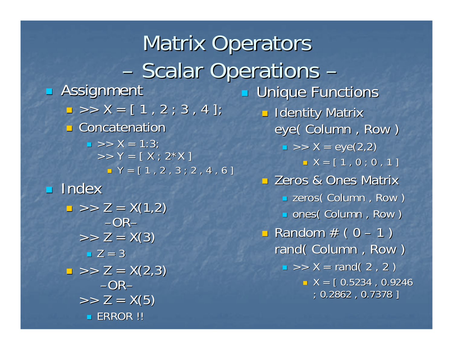**Matrix Operators** –- Scalar Operations – $\mathbb{R}^2$ **B** Assignment  $\Box >> \sf{X} = [ 1\, ,\, 2\, ;\, 3\, ,\, 4\, ]$ **<u>D</u>** Concatenation  $\Box$  >> X = 1:3;  $>> Y = [ X ; 2^* X ]$  $\blacksquare$   $\mathsf{Y} = [\begin{array}{ccc} 1 \end{array}, 2 \end{array}, 3 \begin{array}{ccc} ; 2 \end{array}, 4 \end{array}, 6]$ **Index**  $\Box$  >> Z = X(1,2) –OR– $>> Z = X(3)$  $\blacksquare$  Z = 3  $\Box >> Z = X(2,3)$ –OR– $>> Z = X(5)$  $\blacksquare$  ERROR !! **Unique Functions**  $\blacksquare$  Identity Matrix eye( Column, Row )  $\blacksquare$  >> X = eye(2,2)  $\blacksquare$   $\mathsf{X} = \left[\begin{array}{ccc} 1 \ , \, \mathsf{0} \ ; \, \mathsf{0} \ , \, \mathsf{1} \end{array}\right]$ **E** Zeros & Ones Matrix **E** zeros( Column , Row )  $\textcolor{red}{\blacksquare}$  ones( Column , Row )  $\overline{\phantom{a}}$  Random # ( 0  $\overline{\phantom{a}}$  $-1)$ rand( Column, Row )  $\blacksquare$  >> X = rand( 2, 2 )  $\blacksquare$  X = [ 0.5234 , 0.9246 ; 0.2862 , 0.7378 ] ; 0.2862 , 0.7378 ]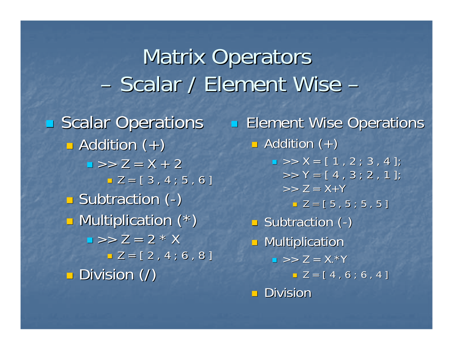#### **Matrix Operators** –- Scalar / Element Wise –**Scalar Operations**  $\blacksquare$  Addition  $(+)$  $\blacksquare$  >>  $\mathsf{Z}$  =  $\mathsf{X}$  + 2  $\blacksquare$  Z = [ 3 , 4 ; 5 , 6 ] Subtraction ( - )  $\mathbb{R}^2$ **D** Multiplication (\*)  $\blacksquare$  >>  $\mathsf{Z}$  = 2 \* X  $\blacksquare$  Z = [ 2 , 4 ; 6 , 8 ]  $\blacksquare$  Division  $(\prime)$ **Element Wise Operations**  $\overline{\phantom{a}}$  Addition (+)  $\blacksquare$  >> X = [ 1 , 2 ; 3 , 4 ];  $>> Y = [4, 3; 2, 1]$ ;  $>> Z = X+Y$  $\blacksquare$  Z = [ 5 , 5 ; 5 , 5 ]  $\blacksquare$  Subtraction ( - )  $\blacksquare$  Multiplication  $\blacksquare$  >> Z = X.\*Y  $= Z = [4, 6; 6, 4]$

 $\blacksquare$  Division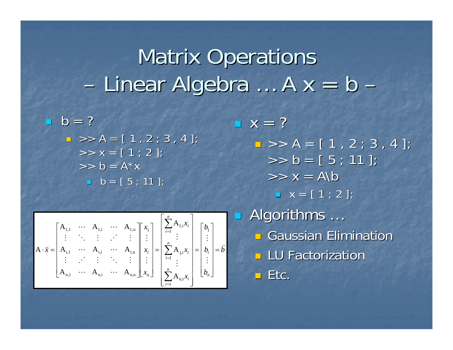#### **Matrix Operations** –– Linear Algebra  $\ldots$  A  $x = b$ –

 $\mathbb{R}^2$  $b = ?$  $\blacksquare$  >> A = [ 1 , 2 ; 3 , 4 ];  $>> x = [1; 2];$  $>> b = A^*x$  $\blacksquare$  b = [5 ; 11 ];

$$
A \cdot \bar{x} = \begin{bmatrix} A_{1,1} & \cdots & A_{1,i} & \cdots & A_{1,n} \\ \vdots & \ddots & \vdots & \vdots & \vdots \\ A_{i,1} & \cdots & A_{i,i} & \cdots & A_{i,n} \\ \vdots & \vdots & \vdots & \ddots & \vdots \\ A_{n,1} & \cdots & A_{n,i} & \cdots & A_{n,n} \end{bmatrix} \begin{bmatrix} x_1 \\ \vdots \\ x_i \\ \vdots \\ x_n \end{bmatrix} = \begin{bmatrix} \sum_{i=1}^{n} A_{1,i} x_i \\ \vdots \\ \sum_{i=1}^{n} A_{1,i} x_i \\ \vdots \\ \sum_{i=1}^{n} A_{n,i} x_i \end{bmatrix} = \begin{bmatrix} b_1 \\ \vdots \\ b_i \\ \vdots \\ b_n \end{bmatrix} = \bar{b}
$$

 $\blacksquare$   $X = ?$  $\Box >> {\sf A} = [ 1 \, , \, 2 \, ; \, 3 \, , \, 4 \, ]$  $>> b = [5; 11];$  $>> X = A \$  $\blacksquare$   $X = [1; 2]$ ; П  $\blacksquare$  Algorithms  $\ldots$ **<u>n</u>** Gaussian Elimination **LU Factorization**  $\blacksquare$  Etc.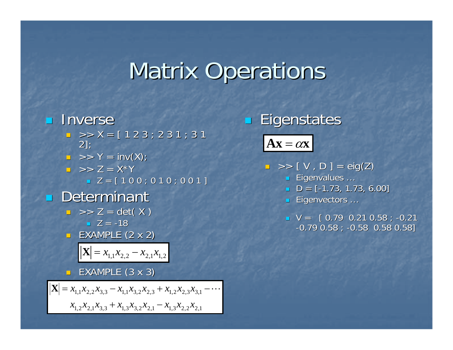# **Matrix Operations**

### **<u></u>** Inverse

- $\blacksquare$  >> X = [ 1 2 3 ; 2 3 1 ; 3 1 2];
- $\blacksquare$  >> Y = inv(X);
- $\Box \,\,\,\>>\,\,Z\,=\,{\mathsf X}^\star\,{\mathsf Y}$ Z = [ 1 0 0 ; 0 1 0 ; 0 0 1 ] Z = [ 1 0 0 ; 0 1 0 ; 0 0 1 ]
- **Determinant**

$$
z > Z = det(X)
$$
  

$$
Z = -18
$$

×. EXAMPLE  $(2 \times 2)$ 

$$
\mathbf{X} = x_{1,1} x_{2,2} - x_{2,1} x_{1,2}
$$

 $\blacksquare$  EXAMPLE (3 x 3)

 $x_{1,2}x_{2,1}x_{3,3} + x_{1,3}x_{3,2}x_{2,1} - x_{1,3}x_{2,2}x_{2,1}$  $\mathbf{X} = x_{1,1}x_{2,2}x_{3,3} - x_{1,1}x_{3,2}x_{2,3} + x_{1,2}x_{2,3}x_{3,1} - \cdots$  p. Eigenstates

 $\mathbf{A}\mathbf{x} = \alpha\mathbf{x}$ 

- $\Box\, \, >>\, [\, \, \mathsf{V}\, \, ,\, \mathsf{D}\, \, ]\, =\, \mathsf{eig}(\mathsf{Z})$ 
	- Eigenvalues ...
	- $\blacksquare$  D = [-1.73, 1.73, 6.00]
	- Eigenvectors ...
	- $\blacksquare$  V =  $[$  0.79 0.21 0.58 ; -0.21  $-0.79$   $0.58$  ;  $-0.58$   $0.58$   $0.58$ ]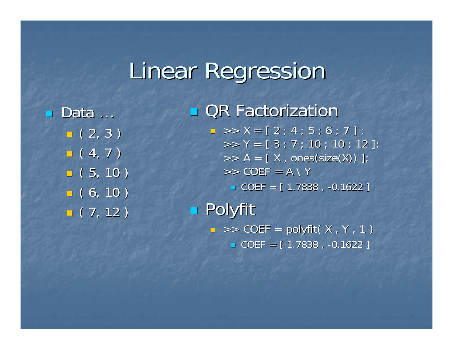## **Linear Regression**

■ Data …  $\blacksquare$  ( 2, 3 )  $\blacksquare$  ( 4, 7 )  $\overline{\phantom{0}}$  (  $5, 10$  )  $\overline{\phantom{0}}$  (  $6, 10$  )  $\overline{\phantom{0}}$  (  $\overline{\phantom{0}}$   $($   $\overline{\phantom{0}}$   $\overline{\phantom{0}}$   $($   $\overline{\phantom{0}}$   $\overline{\phantom{0}}$   $($   $\overline{\phantom{0}}$   $\overline{\phantom{0}}$   $\overline{\phantom{0}}$   $($   $\overline{\phantom{0}}$   $\overline{\phantom{0}}$   $\overline{\phantom{0}}$   $($   $\overline{\phantom{0}}$   $\overline{\phantom{0}}$   $\overline{\phantom{0}}$   $($   $\overline{\phantom{0}}$   $\over$  **QR Factorization**  $\blacksquare$  >> X = [ 2 ; 4 ; 5 ; 6 ; 7 ] ;  $>> Y = [3; 7; 10; 10; 12];$  $>> A = [ X, ones(size(X)) ]$ ; >> COEF = A \ Y  $\blacksquare$  COEF = [ 1.7838 , -0.1622 ]  $\blacksquare$  Polyfit  $\Box$   $>>$  COEF = polyfit( X , Y , 1 )  $\blacksquare$  COEF = [ 1.7838 , -0.1622 ]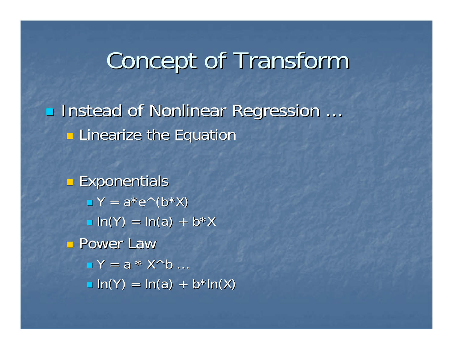### Concept of Transform

**Instead of Nonlinear Regression** … **E** Linearize the Equation

 $\mathbb{R}^3$ **Exponentials**  $\blacksquare$  Y = a\*e^(b\*X)  $\blacksquare$  ln(Y) = ln(a) + b\*X **Power Law**  $\blacksquare$  Y = a \* X^b ...  $\blacksquare$  ln(Y) = ln(a) + b\*ln(X)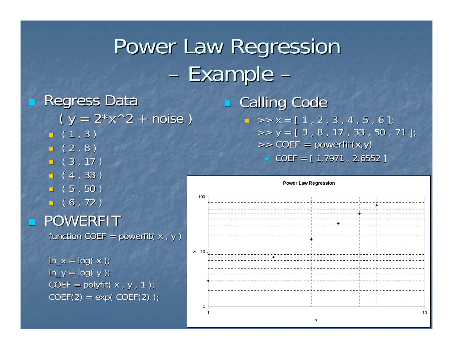### Power Law Regression –- Example –

 $\mathbb{R}^2$ 

 $\mathbb{R}^2$ **Regress Data**  $(y = 2*x^2 + noise)$  $\blacksquare$  (1,3)  $\overline{\phantom{0}}$  (2,8)  $\Box$   $($  3 , 17  $)$  $-$  (4,33)  $\overline{\phantom{0}}$  (  $5$  ,  $50$  )  $\overline{\phantom{0}}$  (  $6$  , 72 ) POWERFIT function COEF = powerfit( $x, y$ )

 $ln_x = log(x)$ ;  $\overline{\ln y} = \log(y)$ ;  $COEF = polyfit(x , y , 1);$  $COEF(2) = exp(COEF(2))$ ; **E** Calling Code  $\blacksquare$  >> x = [ 1 , 2 , 3 , 4 , 5 , 6 ];  $\Rightarrow$  y = [ 3 , 8 , 17 , 33 , 50 , 71 ]; >> COEF = powerfit(x,y) COEF = [ 1.7971 , 2.6552 ] = [ 1.7971 , 2.6552 ]

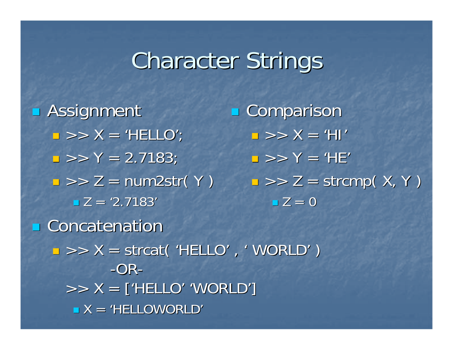### **Character Strings**

 $\blacksquare$  Assignment  $\Box >> X = 'HELLO'$  $\Box >> Y = 2.7183;$  $\blacksquare$  >> Z = num2str( Y )  $\blacksquare$  Z = '2.7183' **Concatenation**  $\blacksquare$  >> X = strcat( 'HELLO', ' WORLD') -OR- $>> X =$  ['HELLO' 'WORLD']  $\blacksquare$  X = 'HELLOWORLD' **Comparison**  $\blacksquare$  >>  $\lambda$  = 'HI' >> Y = 'HE'  $\blacksquare$  >> Z = strcmp( X, Y )  $\blacksquare$   $\mathsf{Z}\,=\,0$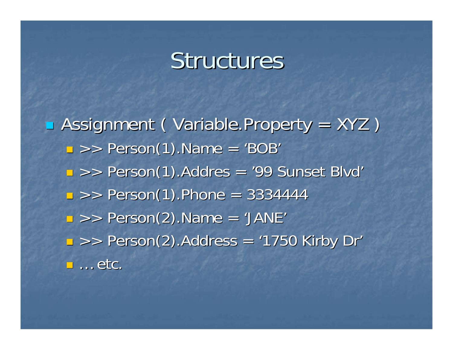### Structures

**B** Assignment ( Variable.Property = XYZ )  $\Box$  >> Person(1).Name = 'BOB'  $\Box$  >> Person(1).Addres = '99 Sunset Blvd'  $\blacksquare$  >> Person(1).Phone = 3334444  $\Box$  >> Person(2).Name = 'JANE'  $\mathbb{R}^2$  $\blacktriangleright$  >> Person(2). Address = '1750 Kirby Dr'  $\blacksquare$  ... etc.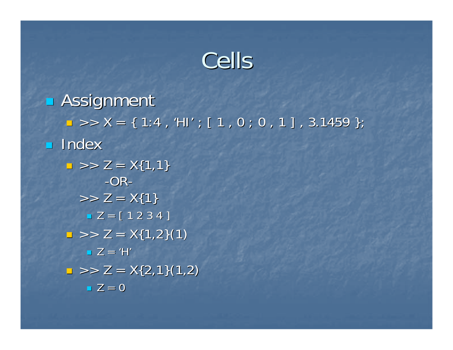### Cells

 $\blacksquare$  Assignment  $\Box >> \mathsf{X} = \{~\mathsf{1:4}~,~\mathsf{H} \mathsf{I}^\prime ~;~ \mathsf{[}~\mathsf{1}~, \mathsf{0}~;~\mathsf{0}~, \mathsf{1}~\mathsf{]}~,~\mathsf{3.1459}~\};$ **Index**  $\Box >> Z = \sf{X} \{1,1\}$ -OR-  $>> Z = X\{1\}$  $\blacksquare$  Z = [ 1 2 3 4 ]  $\Box >> Z = X\{1,2\}(1)$  Z = 'H'  $\Rightarrow$   $\ge$   $\ge$   $\ge$   $\times$  {2,1}(1,2)  $\blacksquare$  Z = 0